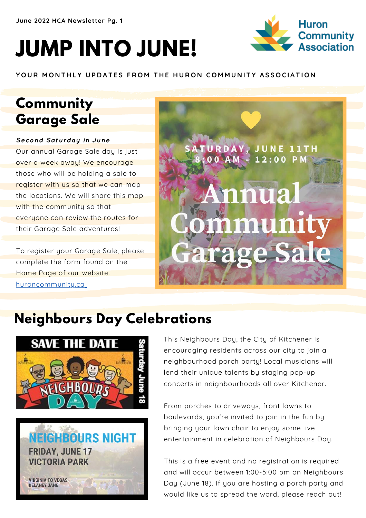# **JUMP INTO JUNE!**



YOUR MONTHLY UPDATES FROM THE HURON COMMUNITY ASSOCIATION

# **Community Garage Sale**

#### Second Saturday in June

Our annual Garage Sale day is just over a week away! We encourage those who will be holding a sale to register with us so that we can map the locations. We will share this map with the community so that everyone can review the routes for their Garage Sale adventures!

To register your Garage Sale, please complete the form found on the Home Page of our website. huroncommunity.ca



# **Neighbours Day Celebrations**





This Neighbours Day, the City of Kitchener is encouraging residents across our city to join a neighbourhood porch party! Local musicians will lend their unique talents by staging pop-up concerts in neighbourhoods all over Kitchener.

From porches to driveways, front lawns to boulevards, you're invited to join in the fun by bringing your lawn chair to enjoy some live entertainment in celebration of Neighbours Day.

This is a free event and no registration is required and will occur between 1:00-5:00 pm on Neighbours Day (June 18). If you are hosting a porch party and would like us to spread the word, please reach out!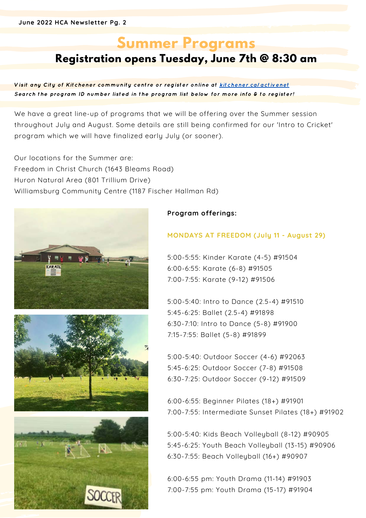# **Summer Programs**

# **Registration opens Tuesday, June 7th @ 8:30 am**

Visit any City of Kitchener community centre or register online at kitchener.ca/activenet Search the program ID number listed in the program list below for more info & to register!

We have a great line-up of programs that we will be offering over the Summer session throughout July and August. Some details are still being confirmed for our 'Intro to Cricket' program which we will have finalized early July (or sooner).

Our locations for the Summer are: Freedom in Christ Church (1643 Bleams Road) Huron Natural Area (801 Trillium Drive) Williamsburg Community Centre (1187 Fischer Hallman Rd)







#### **Program offerings:**

#### **MONDAYS AT FREEDOM (July 11 - August 29)**

5:00-5:55: Kinder Karate (4-5) #91504 6:00-6:55: Karate (6-8) #91505 7:00-7:55: Karate (9-12) #91506

5:00-5:40: Intro to Dance (2.5-4) #91510 5:45-6:25: Ballet (2.5-4) #91898 6:30-7:10: Intro to Dance (5-8) #91900 7:15-7:55: Ballet (5-8) #91899

5:00-5:40: Outdoor Soccer (4-6) #92063 5:45-6:25: Outdoor Soccer (7-8) #91508 6:30-7:25: Outdoor Soccer (9-12) #91509

6:00-6:55: Beginner Pilates (18+) #91901 7:00-7:55: Intermediate Sunset Pilates (18+) #91902

5:00-5:40: Kids Beach Volleyball (8-12) #90905 5:45-6:25: Youth Beach Volleyball (13-15) #90906 6:30-7:55: Beach Volleyball (16+) #90907

6:00-6:55 pm: Youth Drama (11-14) #91903 7:00-7:55 pm: Youth Drama (15-17) #91904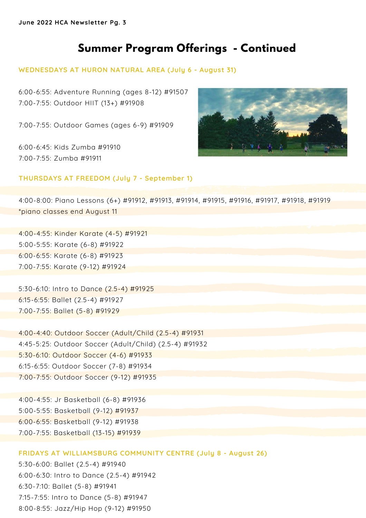**June 2022 HCA Newsletter Pg. 3**

# **Summer Program Offerings - Continued**

#### **WEDNESDAYS AT HURON NATURAL AREA (July 6 - August 31)**

6:00-6:55: Adventure Running (ages 8-12) #91507 7:00-7:55: Outdoor HIIT (13+) #91908

7:00-7:55: Outdoor Games (ages 6-9) #91909

6:00-6:45: Kids Zumba #91910 7:00-7:55: Zumba #91911



#### **THURSDAYS AT FREEDOM (July 7 - September 1)**

4:00-8:00: Piano Lessons (6+) #91912, #91913, #91914, #91915, #91916, #91917, #91918, #91919 \*piano classes end August 11

4:00-4:55: Kinder Karate (4-5) #91921 5:00-5:55: Karate (6-8) #91922 6:00-6:55: Karate (6-8) #91923 7:00-7:55: Karate (9-12) #91924

5:30-6:10: Intro to Dance (2.5-4) #91925 6:15-6:55: Ballet (2.5-4) #91927 7:00-7:55: Ballet (5-8) #91929

4:00-4:40: Outdoor Soccer (Adult/Child (2.5-4) #91931 4:45-5:25: Outdoor Soccer (Adult/Child) (2.5-4) #91932 5:30-6:10: Outdoor Soccer (4-6) #91933 6:15-6:55: Outdoor Soccer (7-8) #91934 7:00-7:55: Outdoor Soccer (9-12) #91935

4:00-4:55: Jr Basketball (6-8) #91936 5:00-5:55: Basketball (9-12) #91937 6:00-6:55: Basketball (9-12) #91938 7:00-7:55: Basketball (13-15) #91939

#### **FRIDAYS AT WILLIAMSBURG COMMUNITY CENTRE (July 8 - August 26)**

5:30-6:00: Ballet (2.5-4) #91940 6:00-6:30: Intro to Dance (2.5-4) #91942 6:30-7:10: Ballet (5-8) #91941 7:15-7:55: Intro to Dance (5-8) #91947 8:00-8:55: Jazz/Hip Hop (9-12) #91950